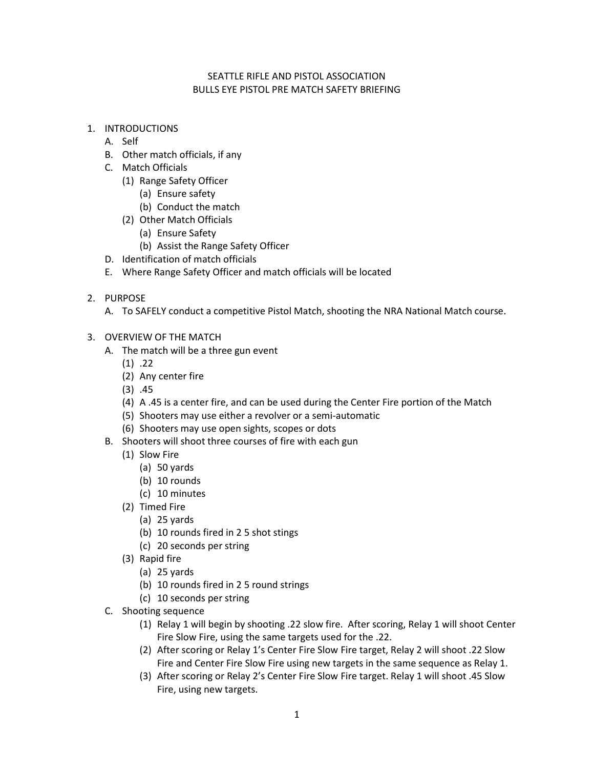### SEATTLE RIFLE AND PISTOL ASSOCIATION BULLS EYE PISTOL PRE MATCH SAFETY BRIEFING

- 1. INTRODUCTIONS
	- A. Self
	- B. Other match officials, if any
	- C. Match Officials
		- (1) Range Safety Officer
			- (a) Ensure safety
			- (b) Conduct the match
		- (2) Other Match Officials
			- (a) Ensure Safety
			- (b) Assist the Range Safety Officer
	- D. Identification of match officials
	- E. Where Range Safety Officer and match officials will be located
- 2. PURPOSE
	- A. To SAFELY conduct a competitive Pistol Match, shooting the NRA National Match course.
- 3. OVERVIEW OF THE MATCH
	- A. The match will be a three gun event
		- $(1)$  .22
		- (2) Any center fire
		- (3) .45
		- (4) A .45 is a center fire, and can be used during the Center Fire portion of the Match
		- (5) Shooters may use either a revolver or a semi-automatic
		- (6) Shooters may use open sights, scopes or dots
	- B. Shooters will shoot three courses of fire with each gun
		- (1) Slow Fire
			- (a) 50 yards
			- (b) 10 rounds
			- (c) 10 minutes
		- (2) Timed Fire
			- (a) 25 yards
			- (b) 10 rounds fired in 2 5 shot stings
			- (c) 20 seconds per string
		- (3) Rapid fire
			- (a) 25 yards
			- (b) 10 rounds fired in 2 5 round strings
			- (c) 10 seconds per string
	- C. Shooting sequence
		- (1) Relay 1 will begin by shooting .22 slow fire. After scoring, Relay 1 will shoot Center Fire Slow Fire, using the same targets used for the .22.
		- (2) After scoring or Relay 1's Center Fire Slow Fire target, Relay 2 will shoot .22 Slow Fire and Center Fire Slow Fire using new targets in the same sequence as Relay 1.
		- (3) After scoring or Relay 2's Center Fire Slow Fire target. Relay 1 will shoot .45 Slow Fire, using new targets.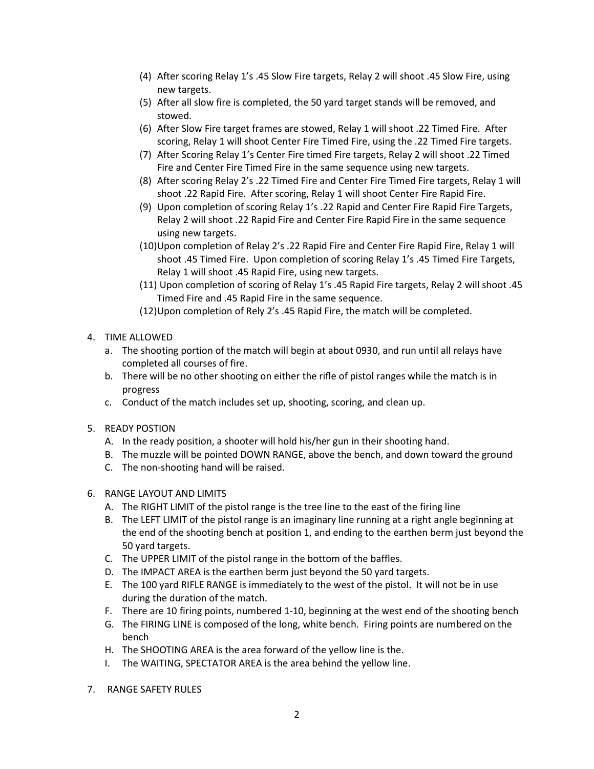- (4) After scoring Relay 1's .45 Slow Fire targets, Relay 2 will shoot .45 Slow Fire, using new targets.
- (5) After all slow fire is completed, the 50 yard target stands will be removed, and stowed.
- (6) After Slow Fire target frames are stowed, Relay 1 will shoot .22 Timed Fire. After scoring, Relay 1 will shoot Center Fire Timed Fire, using the .22 Timed Fire targets.
- (7) After Scoring Relay 1's Center Fire timed Fire targets, Relay 2 will shoot .22 Timed Fire and Center Fire Timed Fire in the same sequence using new targets.
- (8) After scoring Relay 2's .22 Timed Fire and Center Fire Timed Fire targets, Relay 1 will shoot .22 Rapid Fire. After scoring, Relay 1 will shoot Center Fire Rapid Fire.
- (9) Upon completion of scoring Relay 1's .22 Rapid and Center Fire Rapid Fire Targets, Relay 2 will shoot .22 Rapid Fire and Center Fire Rapid Fire in the same sequence using new targets.
- (10)Upon completion of Relay 2's .22 Rapid Fire and Center Fire Rapid Fire, Relay 1 will shoot .45 Timed Fire. Upon completion of scoring Relay 1's .45 Timed Fire Targets, Relay 1 will shoot .45 Rapid Fire, using new targets.
- (11) Upon completion of scoring of Relay 1's .45 Rapid Fire targets, Relay 2 will shoot .45 Timed Fire and .45 Rapid Fire in the same sequence.
- (12)Upon completion of Rely 2's .45 Rapid Fire, the match will be completed.
- 4. TIME ALLOWED
	- a. The shooting portion of the match will begin at about 0930, and run until all relays have completed all courses of fire.
	- b. There will be no other shooting on either the rifle of pistol ranges while the match is in progress
	- c. Conduct of the match includes set up, shooting, scoring, and clean up.
- 5. READY POSTION
	- A. In the ready position, a shooter will hold his/her gun in their shooting hand.
	- B. The muzzle will be pointed DOWN RANGE, above the bench, and down toward the ground
	- C. The non-shooting hand will be raised.
- 6. RANGE LAYOUT AND LIMITS
	- A. The RIGHT LIMIT of the pistol range is the tree line to the east of the firing line
	- B. The LEFT LIMIT of the pistol range is an imaginary line running at a right angle beginning at the end of the shooting bench at position 1, and ending to the earthen berm just beyond the 50 yard targets.
	- C. The UPPER LIMIT of the pistol range in the bottom of the baffles.
	- D. The IMPACT AREA is the earthen berm just beyond the 50 yard targets.
	- E. The 100 yard RIFLE RANGE is immediately to the west of the pistol. It will not be in use during the duration of the match.
	- F. There are 10 firing points, numbered 1-10, beginning at the west end of the shooting bench
	- G. The FIRING LINE is composed of the long, white bench. Firing points are numbered on the bench
	- H. The SHOOTING AREA is the area forward of the yellow line is the.
	- I. The WAITING, SPECTATOR AREA is the area behind the yellow line.
- 7. RANGE SAFETY RULES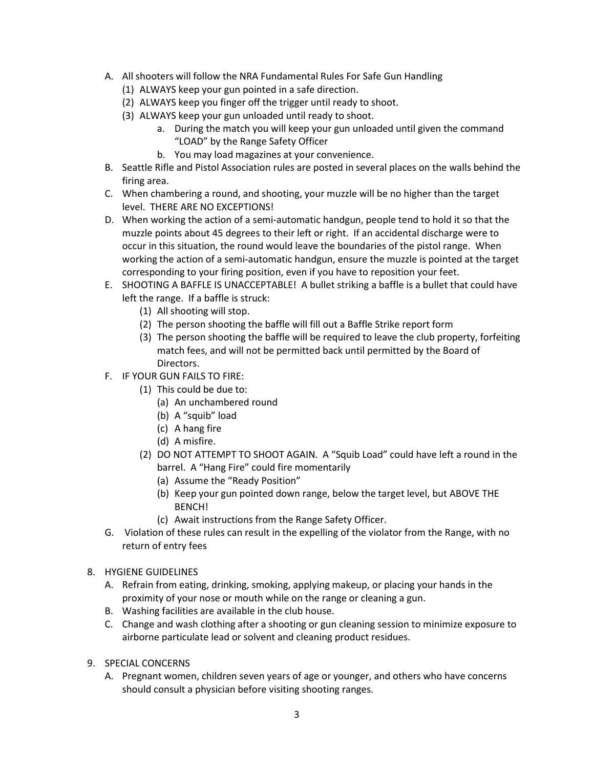- A. All shooters will follow the NRA Fundamental Rules For Safe Gun Handling
	- (1) ALWAYS keep your gun pointed in a safe direction.
	- (2) ALWAYS keep you finger off the trigger until ready to shoot.
	- (3) ALWAYS keep your gun unloaded until ready to shoot.
		- a. During the match you will keep your gun unloaded until given the command "LOAD" by the Range Safety Officer
		- b. You may load magazines at your convenience.
- B. Seattle Rifle and Pistol Association rules are posted in several places on the walls behind the firing area.
- C. When chambering a round, and shooting, your muzzle will be no higher than the target level. THERE ARE NO EXCEPTIONS!
- D. When working the action of a semi-automatic handgun, people tend to hold it so that the muzzle points about 45 degrees to their left or right. If an accidental discharge were to occur in this situation, the round would leave the boundaries of the pistol range. When working the action of a semi-automatic handgun, ensure the muzzle is pointed at the target corresponding to your firing position, even if you have to reposition your feet.
- E. SHOOTING A BAFFLE IS UNACCEPTABLE! A bullet striking a baffle is a bullet that could have left the range. If a baffle is struck:
	- (1) All shooting will stop.
	- (2) The person shooting the baffle will fill out a Baffle Strike report form
	- (3) The person shooting the baffle will be required to leave the club property, forfeiting match fees, and will not be permitted back until permitted by the Board of Directors.
- F. IF YOUR GUN FAILS TO FIRE:
	- (1) This could be due to:
		- (a) An unchambered round
		- (b) A "squib" load
		- (c) A hang fire
		- (d) A misfire.
	- (2) DO NOT ATTEMPT TO SHOOT AGAIN. A "Squib Load" could have left a round in the barrel. A "Hang Fire" could fire momentarily
		- (a) Assume the "Ready Position"
		- (b) Keep your gun pointed down range, below the target level, but ABOVE THE BENCH!
		- (c) Await instructions from the Range Safety Officer.
- G. Violation of these rules can result in the expelling of the violator from the Range, with no return of entry fees
- 8. HYGIENE GUIDELINES
	- A. Refrain from eating, drinking, smoking, applying makeup, or placing your hands in the proximity of your nose or mouth while on the range or cleaning a gun.
	- B. Washing facilities are available in the club house.
	- C. Change and wash clothing after a shooting or gun cleaning session to minimize exposure to airborne particulate lead or solvent and cleaning product residues.
- 9. SPECIAL CONCERNS
	- A. Pregnant women, children seven years of age or younger, and others who have concerns should consult a physician before visiting shooting ranges.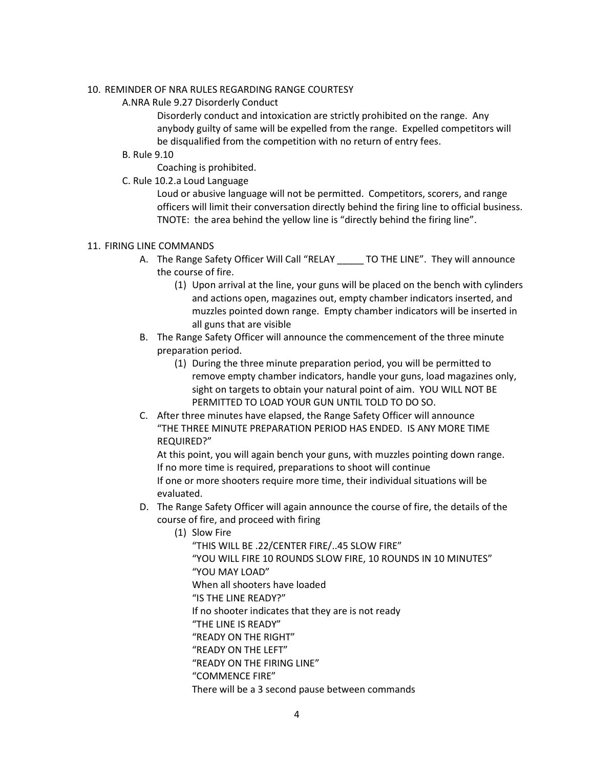#### 10. REMINDER OF NRA RULES REGARDING RANGE COURTESY

A.NRA Rule 9.27 Disorderly Conduct

Disorderly conduct and intoxication are strictly prohibited on the range. Any anybody guilty of same will be expelled from the range. Expelled competitors will be disqualified from the competition with no return of entry fees.

B. Rule 9.10

Coaching is prohibited.

C. Rule 10.2.a Loud Language

Loud or abusive language will not be permitted. Competitors, scorers, and range officers will limit their conversation directly behind the firing line to official business. TNOTE: the area behind the yellow line is "directly behind the firing line".

#### 11. FIRING LINE COMMANDS

- A. The Range Safety Officer Will Call "RELAY TO THE LINE". They will announce the course of fire.
	- (1) Upon arrival at the line, your guns will be placed on the bench with cylinders and actions open, magazines out, empty chamber indicators inserted, and muzzles pointed down range. Empty chamber indicators will be inserted in all guns that are visible
- B. The Range Safety Officer will announce the commencement of the three minute preparation period.
	- (1) During the three minute preparation period, you will be permitted to remove empty chamber indicators, handle your guns, load magazines only, sight on targets to obtain your natural point of aim. YOU WILL NOT BE PERMITTED TO LOAD YOUR GUN UNTIL TOLD TO DO SO.
- C. After three minutes have elapsed, the Range Safety Officer will announce "THE THREE MINUTE PREPARATION PERIOD HAS ENDED. IS ANY MORE TIME REQUIRED?"

At this point, you will again bench your guns, with muzzles pointing down range. If no more time is required, preparations to shoot will continue If one or more shooters require more time, their individual situations will be evaluated.

- D. The Range Safety Officer will again announce the course of fire, the details of the course of fire, and proceed with firing
	- (1) Slow Fire

"THIS WILL BE .22/CENTER FIRE/..45 SLOW FIRE" "YOU WILL FIRE 10 ROUNDS SLOW FIRE, 10 ROUNDS IN 10 MINUTES" "YOU MAY LOAD" When all shooters have loaded "IS THE LINE READY?" If no shooter indicates that they are is not ready "THE LINE IS READY" "READY ON THE RIGHT" "READY ON THE LEFT" "READY ON THE FIRING LINE" "COMMENCE FIRE" There will be a 3 second pause between commands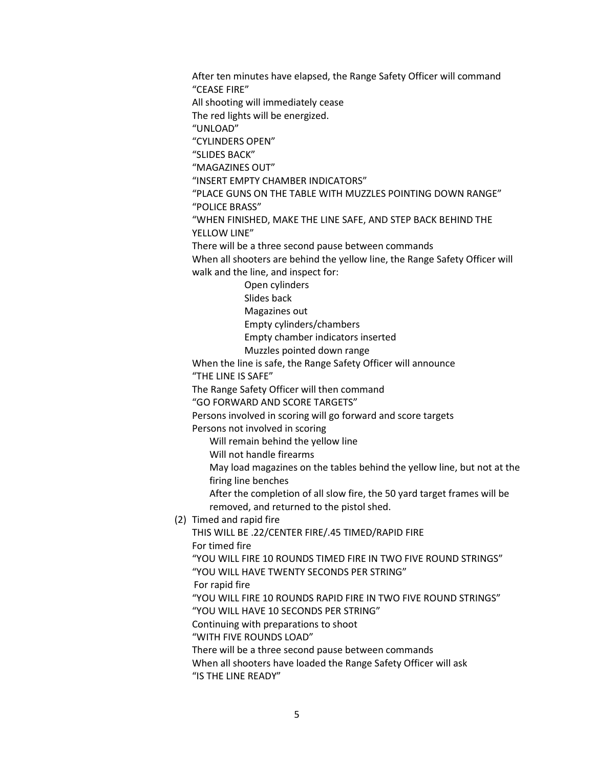After ten minutes have elapsed, the Range Safety Officer will command "CEASE FIRE" All shooting will immediately cease The red lights will be energized. "UNLOAD" "CYLINDERS OPEN" "SLIDES BACK" "MAGAZINES OUT" "INSERT EMPTY CHAMBER INDICATORS" "PLACE GUNS ON THE TABLE WITH MUZZLES POINTING DOWN RANGE" "POLICE BRASS" "WHEN FINISHED, MAKE THE LINE SAFE, AND STEP BACK BEHIND THE YELLOW LINE" There will be a three second pause between commands When all shooters are behind the yellow line, the Range Safety Officer will walk and the line, and inspect for: Open cylinders Slides back Magazines out Empty cylinders/chambers Empty chamber indicators inserted Muzzles pointed down range When the line is safe, the Range Safety Officer will announce "THE LINE IS SAFE" The Range Safety Officer will then command "GO FORWARD AND SCORE TARGETS" Persons involved in scoring will go forward and score targets Persons not involved in scoring Will remain behind the yellow line Will not handle firearms May load magazines on the tables behind the yellow line, but not at the firing line benches After the completion of all slow fire, the 50 yard target frames will be removed, and returned to the pistol shed. (2) Timed and rapid fire THIS WILL BE .22/CENTER FIRE/.45 TIMED/RAPID FIRE For timed fire "YOU WILL FIRE 10 ROUNDS TIMED FIRE IN TWO FIVE ROUND STRINGS" "YOU WILL HAVE TWENTY SECONDS PER STRING" For rapid fire "YOU WILL FIRE 10 ROUNDS RAPID FIRE IN TWO FIVE ROUND STRINGS" "YOU WILL HAVE 10 SECONDS PER STRING" Continuing with preparations to shoot "WITH FIVE ROUNDS LOAD" There will be a three second pause between commands When all shooters have loaded the Range Safety Officer will ask "IS THE LINE READY"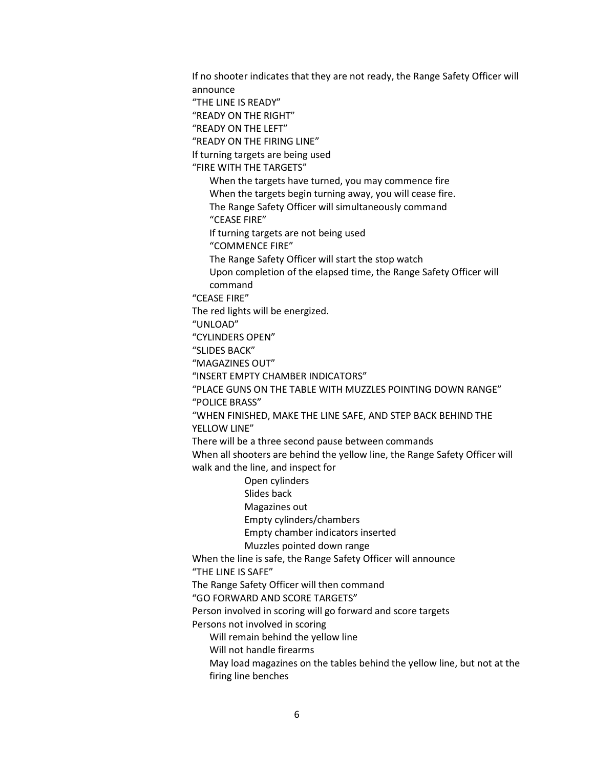If no shooter indicates that they are not ready, the Range Safety Officer will announce "THE LINE IS READY" "READY ON THE RIGHT" "READY ON THE LEFT" "READY ON THE FIRING LINE" If turning targets are being used "FIRE WITH THE TARGETS" When the targets have turned, you may commence fire When the targets begin turning away, you will cease fire. The Range Safety Officer will simultaneously command "CEASE FIRE" If turning targets are not being used "COMMENCE FIRE" The Range Safety Officer will start the stop watch Upon completion of the elapsed time, the Range Safety Officer will command "CEASE FIRE" The red lights will be energized. "UNLOAD" "CYLINDERS OPEN" "SLIDES BACK" "MAGAZINES OUT" "INSERT EMPTY CHAMBER INDICATORS" "PLACE GUNS ON THE TABLE WITH MUZZLES POINTING DOWN RANGE" "POLICE BRASS" "WHEN FINISHED, MAKE THE LINE SAFE, AND STEP BACK BEHIND THE YELLOW LINE" There will be a three second pause between commands When all shooters are behind the yellow line, the Range Safety Officer will walk and the line, and inspect for Open cylinders Slides back Magazines out Empty cylinders/chambers Empty chamber indicators inserted Muzzles pointed down range When the line is safe, the Range Safety Officer will announce "THE LINE IS SAFE" The Range Safety Officer will then command "GO FORWARD AND SCORE TARGETS" Person involved in scoring will go forward and score targets Persons not involved in scoring Will remain behind the yellow line Will not handle firearms May load magazines on the tables behind the yellow line, but not at the firing line benches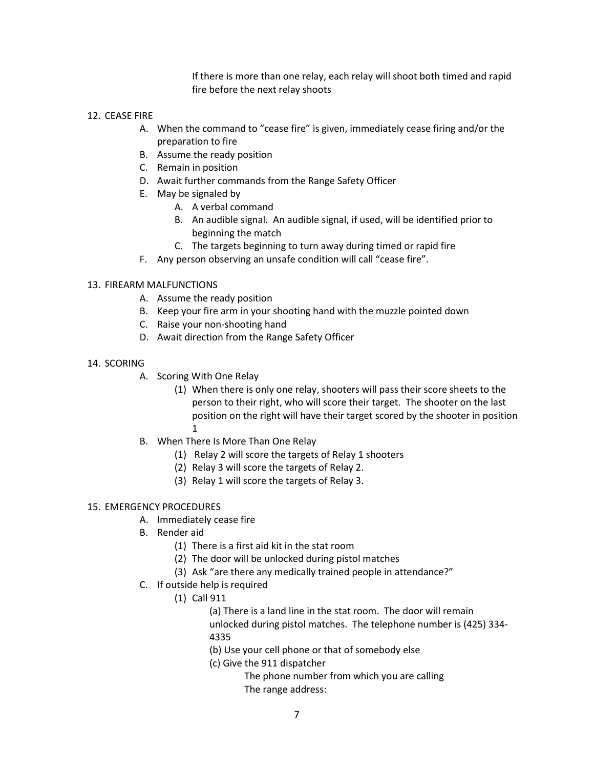If there is more than one relay, each relay will shoot both timed and rapid fire before the next relay shoots

## 12. CEASE FIRE

- A. When the command to "cease fire" is given, immediately cease firing and/or the preparation to fire
- B. Assume the ready position
- C. Remain in position
- D. Await further commands from the Range Safety Officer
- E. May be signaled by
	- A. A verbal command
	- B. An audible signal. An audible signal, if used, will be identified prior to beginning the match
	- C. The targets beginning to turn away during timed or rapid fire
- F. Any person observing an unsafe condition will call "cease fire".

## 13. FIREARM MALFUNCTIONS

- A. Assume the ready position
- B. Keep your fire arm in your shooting hand with the muzzle pointed down
- C. Raise your non-shooting hand
- D. Await direction from the Range Safety Officer
- 14. SCORING
	- A. Scoring With One Relay
		- (1) When there is only one relay, shooters will pass their score sheets to the person to their right, who will score their target. The shooter on the last position on the right will have their target scored by the shooter in position 1
	- B. When There Is More Than One Relay
		- (1) Relay 2 will score the targets of Relay 1 shooters
		- (2) Relay 3 will score the targets of Relay 2.
		- (3) Relay 1 will score the targets of Relay 3.

#### 15. EMERGENCY PROCEDURES

- A. Immediately cease fire
- B. Render aid
	- (1) There is a first aid kit in the stat room
	- (2) The door will be unlocked during pistol matches
	- (3) Ask "are there any medically trained people in attendance?"
- C. If outside help is required
	- (1) Call 911
		- (a) There is a land line in the stat room. The door will remain

 unlocked during pistol matches. The telephone number is (425) 334- 4335

- (b) Use your cell phone or that of somebody else
- (c) Give the 911 dispatcher

 The phone number from which you are calling The range address: